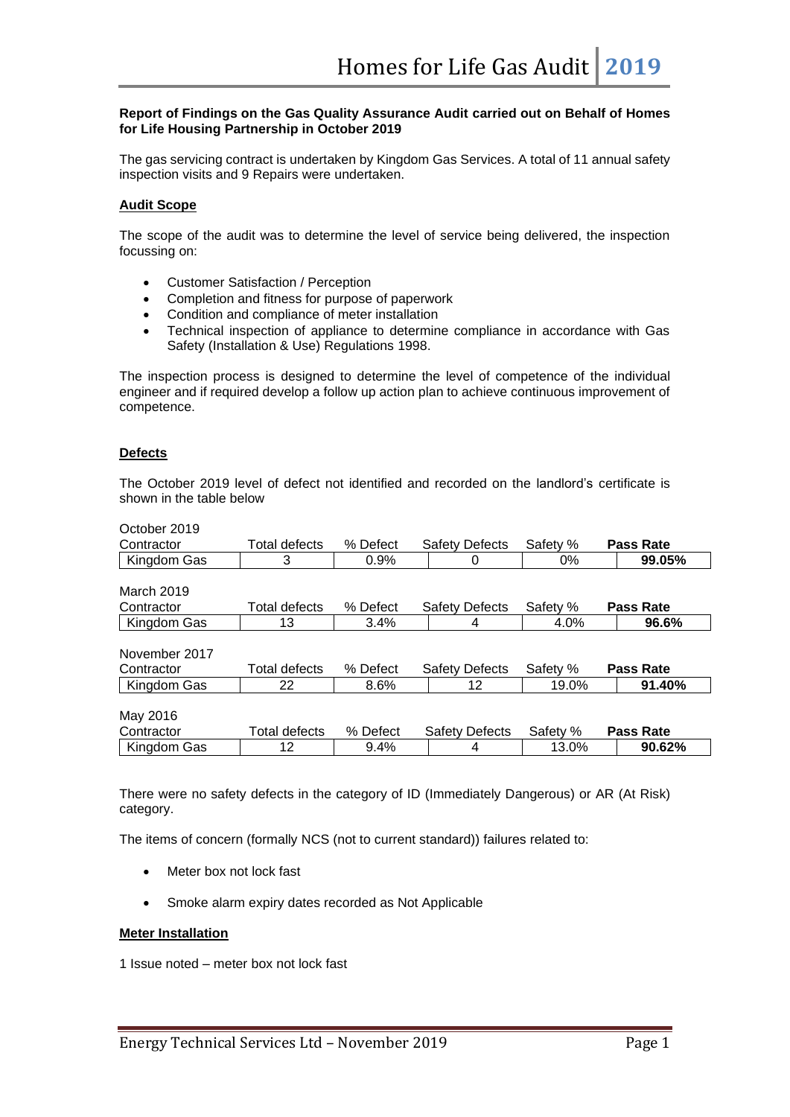#### **Report of Findings on the Gas Quality Assurance Audit carried out on Behalf of Homes for Life Housing Partnership in October 2019**

The gas servicing contract is undertaken by Kingdom Gas Services. A total of 11 annual safety inspection visits and 9 Repairs were undertaken.

#### **Audit Scope**

The scope of the audit was to determine the level of service being delivered, the inspection focussing on:

- Customer Satisfaction / Perception
- Completion and fitness for purpose of paperwork
- Condition and compliance of meter installation
- Technical inspection of appliance to determine compliance in accordance with Gas Safety (Installation & Use) Regulations 1998.

The inspection process is designed to determine the level of competence of the individual engineer and if required develop a follow up action plan to achieve continuous improvement of competence.

#### **Defects**

The October 2019 level of defect not identified and recorded on the landlord's certificate is shown in the table below

| October 2019  |               |          |                       |          |                  |
|---------------|---------------|----------|-----------------------|----------|------------------|
| Contractor    | Total defects | % Defect | <b>Safety Defects</b> | Safety % | <b>Pass Rate</b> |
| Kingdom Gas   | 3             | 0.9%     |                       | 0%       | 99.05%           |
| March 2019    |               |          |                       |          |                  |
| Contractor    | Total defects | % Defect | <b>Safety Defects</b> | Safety % | <b>Pass Rate</b> |
| Kingdom Gas   | 13            | 3.4%     | 4                     | 4.0%     | 96.6%            |
| November 2017 |               |          |                       |          |                  |
| Contractor    | Total defects | % Defect | Safety Defects        | Safety % | Pass Rate        |
| Kingdom Gas   | 22            | 8.6%     | 12                    | 19.0%    | 91.40%           |
| May 2016      |               |          |                       |          |                  |
| Contractor    | Total defects | % Defect | <b>Safety Defects</b> | Safety % | <b>Pass Rate</b> |
| Kingdom Gas   | 12            | 9.4%     | 4                     | 13.0%    | 90.62%           |

There were no safety defects in the category of ID (Immediately Dangerous) or AR (At Risk) category.

The items of concern (formally NCS (not to current standard)) failures related to:

- Meter box not lock fast
- Smoke alarm expiry dates recorded as Not Applicable

#### **Meter Installation**

1 Issue noted – meter box not lock fast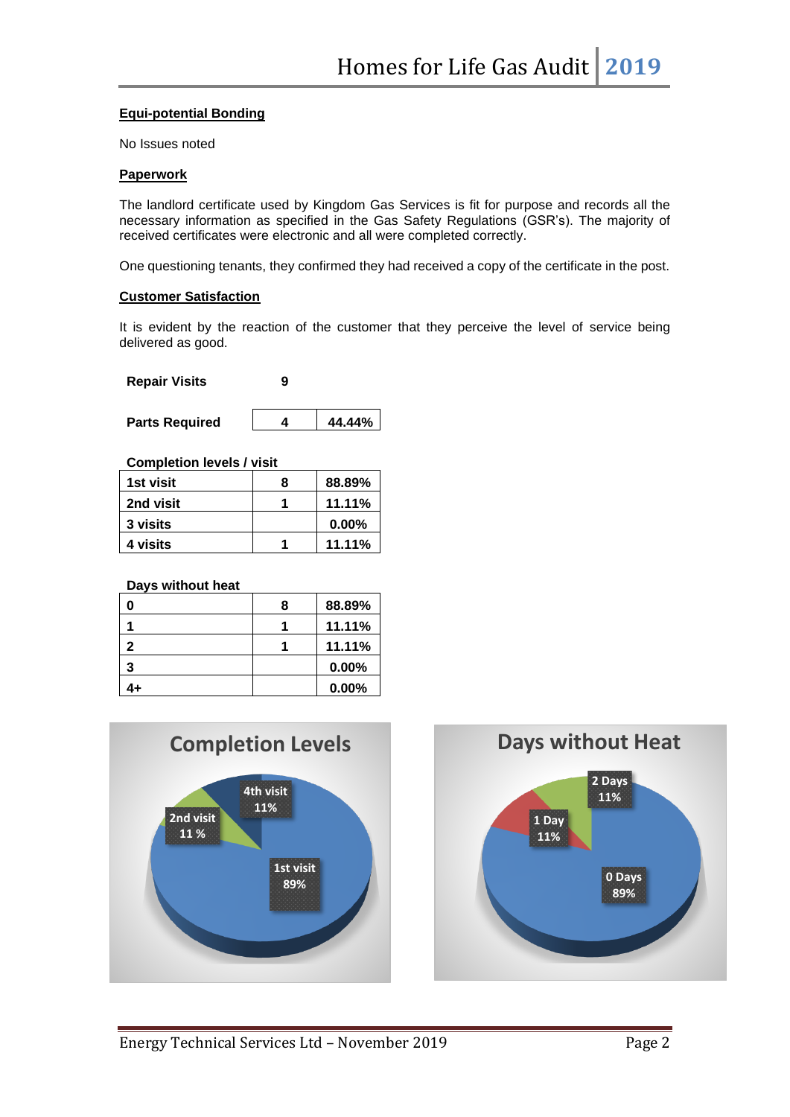# **Equi-potential Bonding**

No Issues noted

### **Paperwork**

The landlord certificate used by Kingdom Gas Services is fit for purpose and records all the necessary information as specified in the Gas Safety Regulations (GSR's). The majority of received certificates were electronic and all were completed correctly.

One questioning tenants, they confirmed they had received a copy of the certificate in the post.

### **Customer Satisfaction**

It is evident by the reaction of the customer that they perceive the level of service being delivered as good.

**Repair Visits 9**

| <b>Parts Required</b> | 44.44% |
|-----------------------|--------|
|                       |        |

**Completion levels / visit**

| 1st visit | 8 | 88.89%   |
|-----------|---|----------|
| 2nd visit |   | 11.11%   |
| 3 visits  |   | $0.00\%$ |
| 4 visits  |   | 11.11%   |

## **Days without heat**

| Я | 88.89% |
|---|--------|
|   | 11.11% |
|   | 11.11% |
|   | 0.00%  |
|   | 0.00%  |